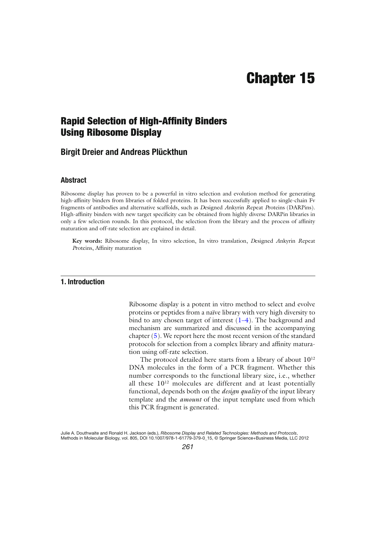# Chapter 15

## **Rapid Selection of High-Affinity Binders** Using Ribosome Display

 **Birgit Dreier and Andreas Plückthun** 

#### **Abstract**

Ribosome display has proven to be a powerful in vitro selection and evolution method for generating high-affinity binders from libraries of folded proteins. It has been successfully applied to single-chain Fv fragments of antibodies and alternative scaffolds, such as *D*esigned *A*nkyrin *R*epeat *P*roteins (DARPins). High-affinity binders with new target specificity can be obtained from highly diverse DARPin libraries in only a few selection rounds. In this protocol, the selection from the library and the process of affinity maturation and off-rate selection are explained in detail.

**Key words:** Ribosome display , In vitro selection , In vitro translation , *D*esigned *A*nkyrin *R*epeat *Proteins, Affinity maturation* 

## **1. Introduction**

Ribosome display is a potent in vitro method to select and evolve proteins or peptides from a naïve library with very high diversity to bind to any chosen target of interest  $(1-4)$ . The background and mechanism are summarized and discussed in the accompanying chapter  $(5)$ . We report here the most recent version of the standard protocols for selection from a complex library and affinity maturation using off-rate selection.

The protocol detailed here starts from a library of about  $10^{12}$ DNA molecules in the form of a PCR fragment. Whether this number corresponds to the functional library size, i.e., whether all these  $10^{12}$  molecules are different and at least potentially functional, depends both on the *design quality* of the input library template and the *amount* of the input template used from which this PCR fragment is generated.

Julie A. Douthwaite and Ronald H. Jackson (eds.), *Ribosome Display and Related Technologies: Methods and Protocols*, Methods in Molecular Biology, vol. 805, DOI 10.1007/978-1-61779-379-0\_15, © Springer Science+Business Media, LLC 2012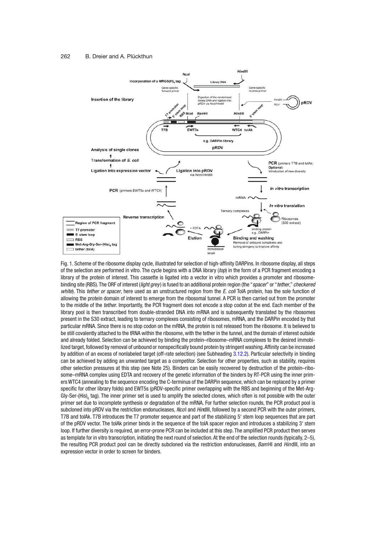#### 262 B. Dreier and A. Plückthun



Fig. 1. Scheme of the ribosome display cycle, illustrated for selection of high-affinity DARPins. In ribosome display, all steps of the selection are performed in vitro. The cycle begins with a DNA library ( $top$ ) in the form of a PCR fragment encoding a library of the protein of interest. This cassette is ligated into a vector in vitro which provides a promoter and ribosomebinding site (RBS). The ORF of interest (*light grey*) is fused to an additional protein region (the "*spacer*" or "*tether.*" *checkered* white). This tether or spacer, here used as an unstructured region from the  $E.$  coli TolA protein, has the sole function of allowing the protein domain of interest to emerge from the ribosomal tunnel. A PCR is then carried out from the promoter to the middle of the tether. Importantly, the PCR fragment does not encode a stop codon at the end. Each member of the library pool is then transcribed from double-stranded DNA into mRNA and is subsequently translated by the ribosomes present in the S30 extract, leading to ternary complexes consisting of ribosomes, mRNA, and the DARPin encoded by that particular mRNA. Since there is no stop codon on the mRNA, the protein is not released from the ribosome. It is believed to be still covalently attached to the tRNA within the ribosome, with the tether in the tunnel, and the domain of interest outside and already folded. Selection can be achieved by binding the protein–ribosome–mRNA complexes to the desired immobilized target, followed by removal of unbound or nonspecifically bound protein by stringent washing. Affinity can be increased by addition of an excess of nonlabeled target (off-rate selection) (see Subheading 3.12.2). Particular selectivity in binding can be achieved by adding an unwanted target as a competitor. Selection for other properties, such as stability, requires other selection pressures at this step (see Note 25). Binders can be easily recovered by destruction of the protein–ribosome–mRNA complex using EDTA and recovery of the genetic information of the binders by RT-PCR using the inner primers WTC4 (annealing to the sequence encoding the C-terminus of the DARPin sequence, which can be replaced by a primer specific for other library folds) and EWT5s (pRDV-specific primer overlapping with the RBS and beginning of the Met-Arg-Gly-Ser-(His)<sub>6</sub> tag). The inner primer set is used to amplify the selected clones, which often is not possible with the outer primer set due to incomplete synthesis or degradation of the mRNA. For further selection rounds, the PCR product pool is subcloned into pRDV via the restriction endonucleases, Ncol and HindIII, followed by a second PCR with the outer primers, T7B and tolAk. T7B introduces the T7 promoter sequence and part of the stabilizing 5' stem loop sequences that are part of the pRDV vector. The tolAk primer binds in the sequence of the tolA spacer region and introduces a stabilizing 3' stem loop. If further diversity is required, an error-prone PCR can be included at this step. The amplified PCR product then serves as template for in vitro transcription, initiating the next round of selection. At the end of the selection rounds (typically, 2–5), the resulting PCR product pool can be directly subcloned via the restriction endonucleases, Bam HI and HindIII, into an expression vector in order to screen for binders.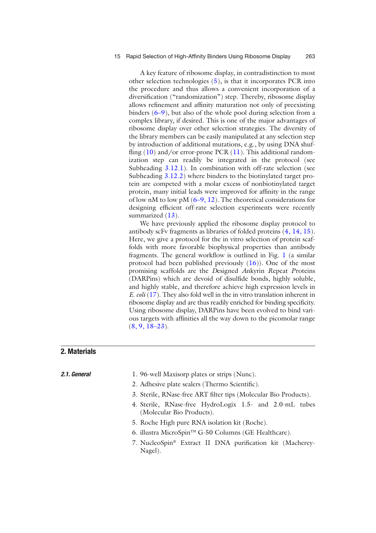#### 15 Rapid Selection of High-Affinity Binders Using Ribosome Display 263

A key feature of ribosome display, in contradistinction to most other selection technologies  $(5)$ , is that it incorporates PCR into the procedure and thus allows a convenient incorporation of a diversification ("randomization") step. Thereby, ribosome display allows refinement and affinity maturation not only of preexisting binders  $(6-9)$ , but also of the whole pool during selection from a complex library, if desired. This is one of the major advantages of ribosome display over other selection strategies. The diversity of the library members can be easily manipulated at any selection step by introduction of additional mutations, e.g., by using DNA shuffling  $(10)$  and/or error-prone PCR  $(11)$ . This additional randomization step can readily be integrated in the protocol (see Subheading  $3.12.1$ ). In combination with off-rate selection (see Subheading 3.12.2) where binders to the biotinylated target protein are competed with a molar excess of nonbiotinylated target protein, many initial leads were improved for affinity in the range of low nM to low pM  $(6-9, 12)$ . The theoretical considerations for designing efficient off-rate selection experiments were recently summarized  $(13)$ .

We have previously applied the ribosome display protocol to antibody scFv fragments as libraries of folded proteins  $(4, 14, 15)$ . Here, we give a protocol for the in vitro selection of protein scaffolds with more favorable biophysical properties than antibody fragments. The general workflow is outlined in Fig.  $1$  (a similar protocol had been published previously  $(16)$ ). One of the most promising scaffolds are the *D*esigned *A*nkyrin *R*epeat *P* roteins (DARPins) which are devoid of disulfide bonds, highly soluble, and highly stable, and therefore achieve high expression levels in *E. coli* (17). They also fold well in the in vitro translation inherent in ribosome display and are thus readily enriched for binding specificity. Using ribosome display, DARPins have been evolved to bind various targets with affinities all the way down to the picomolar range  $( 8, 9, 18 - 23).$ 

## **2. Materials**

 **2.1. General**

| 1. 96-well Maxisorp plates or strips (Nunc). |  |  |  |  |
|----------------------------------------------|--|--|--|--|
|----------------------------------------------|--|--|--|--|

- 2. Adhesive plate sealers (Thermo Scientific).
- 3. Sterile, RNase-free ART filter tips (Molecular Bio Products).
- 4. Sterile, RNase-free HydroLogix 1.5- and 2.0-mL tubes (Molecular Bio Products).
- 5. Roche High pure RNA isolation kit (Roche).
- 6. illustra MicroSpin™ G-50 Columns (GE Healthcare).
- 7. NucleoSpin® Extract II DNA purification kit (Macherey-Nagel).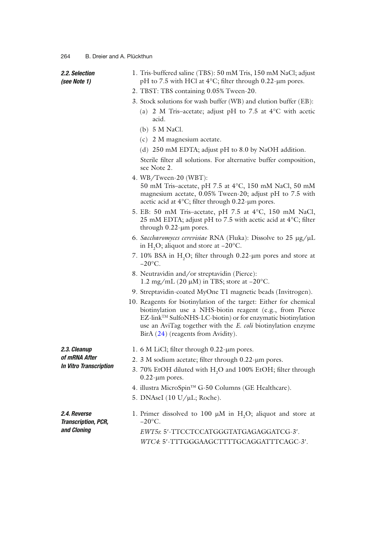| 2.2. Selection<br>(see Note 1)             | 1. Tris-buffered saline (TBS): 50 mM Tris, 150 mM NaCl; adjust<br>pH to 7.5 with HCl at $4^{\circ}$ C; filter through 0.22-µm pores.                                                                                                                                                                                    |
|--------------------------------------------|-------------------------------------------------------------------------------------------------------------------------------------------------------------------------------------------------------------------------------------------------------------------------------------------------------------------------|
|                                            | 2. TBST: TBS containing 0.05% Tween-20.                                                                                                                                                                                                                                                                                 |
|                                            | 3. Stock solutions for wash buffer (WB) and elution buffer (EB):                                                                                                                                                                                                                                                        |
|                                            | (a) 2 M Tris-acetate; adjust pH to 7.5 at $4^{\circ}$ C with acetic<br>acid.                                                                                                                                                                                                                                            |
|                                            | $(b)$ 5 M NaCl.                                                                                                                                                                                                                                                                                                         |
|                                            | $(c)$ 2 M magnesium acetate.                                                                                                                                                                                                                                                                                            |
|                                            | (d) 250 mM EDTA; adjust pH to 8.0 by NaOH addition.                                                                                                                                                                                                                                                                     |
|                                            | Sterile filter all solutions. For alternative buffer composition,<br>see Note 2.                                                                                                                                                                                                                                        |
|                                            | 4. $WB/T$ ween-20 (WBT):<br>50 mM Tris-acetate, pH 7.5 at $4^{\circ}$ C, 150 mM NaCl, 50 mM<br>magnesium acetate, 0.05% Tween-20; adjust pH to 7.5 with<br>acetic acid at $4^{\circ}$ C; filter through 0.22- $\mu$ m pores.                                                                                            |
|                                            | 5. EB: 50 mM Tris-acetate, pH 7.5 at $4^{\circ}$ C, 150 mM NaCl,<br>25 mM EDTA; adjust pH to 7.5 with acetic acid at $4^{\circ}$ C; filter<br>through $0.22$ -µm pores.                                                                                                                                                 |
|                                            | 6. Saccharomyces cerevisiae RNA (Fluka): Dissolve to 25 $\mu$ g/ $\mu$ L<br>in H <sub>2</sub> O; aliquot and store at $-20^{\circ}$ C.                                                                                                                                                                                  |
|                                            | 7. 10% BSA in $H2O$ ; filter through 0.22- $\mu$ m pores and store at<br>$-20^{\circ}$ C.                                                                                                                                                                                                                               |
|                                            | 8. Neutravidin and/or streptavidin (Pierce):<br>1.2 mg/mL $(20 \mu M)$ in TBS; store at $-20^{\circ}$ C.                                                                                                                                                                                                                |
|                                            | 9. Streptavidin-coated MyOne T1 magnetic beads (Invitrogen).                                                                                                                                                                                                                                                            |
|                                            | 10. Reagents for biotinylation of the target: Either for chemical<br>biotinylation use a NHS-biotin reagent (e.g., from Pierce<br>EZ-link <sup>TM</sup> SulfoNHS-LC-biotin) or for enzymatic biotinylation<br>use an AviTag together with the <i>E. coli</i> biotinylation enzyme<br>BirA (24) (reagents from Avidity). |
| 2.3. Cleanup                               | 1. 6 M LiCl; filter through 0.22-um pores.                                                                                                                                                                                                                                                                              |
| of mRNA After                              | 2. 3 M sodium acetate; filter through 0.22-um pores.                                                                                                                                                                                                                                                                    |
| <b>In Vitro Transcription</b>              | 3. 70% EtOH diluted with H <sub>2</sub> O and 100% EtOH; filter through<br>$0.22$ -µm pores.                                                                                                                                                                                                                            |
|                                            | 4. illustra MicroSpin™ G-50 Columns (GE Healthcare).                                                                                                                                                                                                                                                                    |
|                                            | 5. DNAseI (10 U/ $\mu$ L; Roche).                                                                                                                                                                                                                                                                                       |
| 2.4. Reverse<br><b>Transcription, PCR,</b> | 1. Primer dissolved to 100 $\mu$ M in H <sub>2</sub> O; aliquot and store at<br>$-20^{\circ}$ C.                                                                                                                                                                                                                        |
| and Cloning                                | EWT5s: 5'-TTCCTCCATGGGTATGAGAGGATCG-3'.                                                                                                                                                                                                                                                                                 |

*WTC4*: 5'-TTTGGGAAGCTTTTGCAGGATTTCAGC-3'.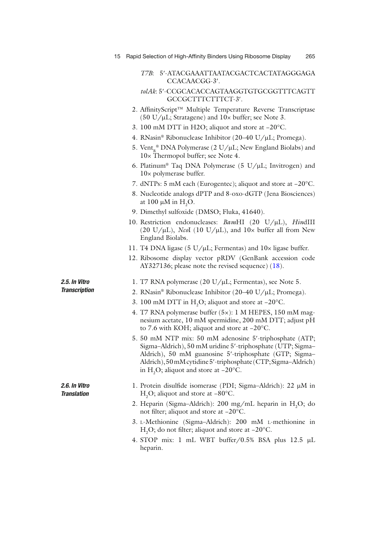|                                     | 15 Rapid Selection of High-Affinity Binders Using Ribosome Display<br>265                                                                                                                                                                                                                                      |
|-------------------------------------|----------------------------------------------------------------------------------------------------------------------------------------------------------------------------------------------------------------------------------------------------------------------------------------------------------------|
|                                     | T7B: 5'-ATACGAAATTAATACGACTCACTATAGGGAGA<br>CCACAACGG-3'.                                                                                                                                                                                                                                                      |
|                                     | tolAk: 5'-CCGCACACCAGTAAGGTGTGCGGTTTCAGTT<br>GCCGCTTTCTTTCT-3'.                                                                                                                                                                                                                                                |
|                                     | 2. AffinityScript™ Multiple Temperature Reverse Transcriptase<br>$(50 \text{ U}/\mu\text{L}$ ; Stratagene) and $10\times$ buffer; see Note 3.                                                                                                                                                                  |
|                                     | 3. 100 mM DTT in H2O; aliquot and store at -20°C.                                                                                                                                                                                                                                                              |
|                                     | 4. RNasin <sup>®</sup> Ribonuclease Inhibitor (20–40 U/ $\mu$ L; Promega).                                                                                                                                                                                                                                     |
|                                     | 5. Vent <sub>R</sub> ® DNA Polymerase (2 U/µL; New England Biolabs) and<br>10x Thermopol buffer; see Note 4.                                                                                                                                                                                                   |
|                                     | 6. Platinum® Taq DNA Polymerase (5 $U/\mu L$ ; Invitrogen) and<br>$10\times$ polymerase buffer.                                                                                                                                                                                                                |
|                                     | 7. dNTPs: 5 mM each (Eurogentec); aliquot and store at $-20^{\circ}$ C.                                                                                                                                                                                                                                        |
|                                     | 8. Nucleotide analogs dPTP and 8-oxo-dGTP (Jena Biosciences)<br>at 100 $\mu$ M in H <sub>2</sub> O.                                                                                                                                                                                                            |
|                                     | 9. Dimethyl sulfoxide (DMSO; Fluka, 41640).                                                                                                                                                                                                                                                                    |
|                                     | 10. Restriction endonucleases: BamHI (20 U/µL), HindIII<br>$(20 \text{ U/}\mu\text{L})$ , <i>NcoI</i> (10 U/ $\mu\text{L}$ ), and 10x buffer all from New<br>England Biolabs.                                                                                                                                  |
|                                     | 11. T4 DNA ligase (5 $U/\mu L$ ; Fermentas) and $10\times$ ligase buffer.                                                                                                                                                                                                                                      |
|                                     | 12. Ribosome display vector pRDV (GenBank accession code<br>AY327136; please note the revised sequence) $(18)$ .                                                                                                                                                                                               |
| 2.5. In Vitro                       | 1. T7 RNA polymerase $(20 \text{ U}/\mu\text{L}$ ; Fermentas), see Note 5.                                                                                                                                                                                                                                     |
| <b>Transcription</b>                | 2. RNasin <sup>®</sup> Ribonuclease Inhibitor (20–40 U/µL; Promega).                                                                                                                                                                                                                                           |
|                                     | 3. 100 mM DTT in H <sub>2</sub> O; aliquot and store at $-20^{\circ}$ C.                                                                                                                                                                                                                                       |
|                                     | 4. T7 RNA polymerase buffer (5x): 1 M HEPES, 150 mM mag-<br>nesium acetate, 10 mM spermidine, 200 mM DTT; adjust pH<br>to 7.6 with KOH; aliquot and store at $-20^{\circ}$ C.                                                                                                                                  |
|                                     | 5. 50 mM NTP mix: 50 mM adenosine 5'-triphosphate (ATP;<br>Sigma-Aldrich), 50 mM uridine 5'-triphosphate (UTP; Sigma-<br>Aldrich), 50 mM guanosine 5'-triphosphate (GTP; Sigma-<br>Aldrich), 50 mM cytidine 5'-triphosphate (CTP; Sigma-Aldrich)<br>in H <sub>2</sub> O; aliquot and store at $-20^{\circ}$ C. |
| 2.6. In Vitro<br><b>Translation</b> | 1. Protein disulfide isomerase (PDI; Sigma-Aldrich): $22 \mu M$ in<br>$H2O$ ; aliquot and store at $-80^{\circ}C$ .                                                                                                                                                                                            |
|                                     | 2. Heparin (Sigma–Aldrich): 200 mg/mL heparin in H <sub>2</sub> O; do<br>not filter; aliquot and store at $-20^{\circ}$ C.                                                                                                                                                                                     |
|                                     | 3. L-Methionine (Sigma-Aldrich): 200 mM L-methionine in<br>$H2O$ ; do not filter; aliquot and store at $-20^{\circ}C$ .                                                                                                                                                                                        |
|                                     | 4. STOP mix: 1 mL WBT buffer/0.5% BSA plus 12.5 µL<br>heparin.                                                                                                                                                                                                                                                 |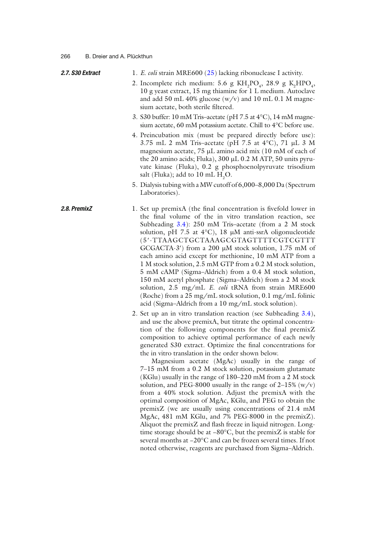**2.7. S30 Extract**

- 1. *E. coli* strain MRE600 (25) lacking ribonuclease I activity.
- 2. Incomplete rich medium: 5.6 g  $KH_2PO_4$ , 28.9 g  $K_2HPO_4$ , 10 g yeast extract, 15 mg thiamine for 1 L medium. Autoclave and add 50 mL 40% glucose  $(w/v)$  and 10 mL 0.1 M magnesium acetate, both sterile filtered.
	- 3. S30 buffer: 10 mM Tris–acetate (pH 7.5 at 4°C), 14 mM magnesium acetate, 60 mM potassium acetate. Chill to 4°C before use.
	- 4. Preincubation mix (must be prepared directly before use): 3.75 mL 2 mM Tris-acetate (pH 7.5 at  $4^{\circ}$ C), 71 µL 3 M magnesium acetate,  $75 \mu L$  amino acid mix (10 mM of each of the 20 amino acids; Fluka), 300 µL 0.2 M ATP, 50 units pyruvate kinase (Fluka), 0.2 g phosphoenolpyruvate trisodium salt (Fluka); add to  $10 \text{ mL H}_2\text{O}$ .
- 5. Dialysis tubing with a MW cutoff of 6,000–8,000 Da (Spectrum Laboratories).
- 1. Set up premixA (the final concentration is fivefold lower in the final volume of the in vitro translation reaction, see Subheading 3.4): 250 mM Tris–acetate (from a 2 M stock solution, pH 7.5 at  $4^{\circ}$ C), 18  $\mu$ M anti-ssrA oligonucleotide (5 ¢-TTAAGCTGCTAAAGCGTAGTTTTCGTCGTTT GCGACTA-3') from a 200  $\mu$ M stock solution, 1.75 mM of each amino acid except for methionine, 10 mM ATP from a 1 M stock solution, 2.5 mM GTP from a 0.2 M stock solution, 5 mM cAMP (Sigma–Aldrich) from a 0.4 M stock solution, 150 mM acetyl phosphate (Sigma–Aldrich) from a 2 M stock solution, 2.5 mg/mL *E. coli* tRNA from strain MRE600 (Roche) from a 25 mg/mL stock solution, 0.1 mg/mL folinic acid (Sigma–Aldrich from a 10 mg/mL stock solution).  **2.8. PremixZ**
	- 2. Set up an in vitro translation reaction (see Subheading  $3.4$ ), and use the above premixA, but titrate the optimal concentration of the following components for the final premix $Z$ composition to achieve optimal performance of each newly generated S30 extract. Optimize the final concentrations for the in vitro translation in the order shown below.

Magnesium acetate (MgAc) usually in the range of 7–15 mM from a 0.2 M stock solution, potassium glutamate (KGlu) usually in the range of 180–220 mM from a 2 M stock solution, and PEG-8000 usually in the range of  $2-15\%$  (w/v) from a 40% stock solution. Adjust the premixA with the optimal composition of MgAc, KGlu, and PEG to obtain the premixZ (we are usually using concentrations of 21.4 mM MgAc, 481 mM KGlu, and 7% PEG-8000 in the premixZ). Aliquot the premixZ and flash freeze in liquid nitrogen. Longtime storage should be at −80°C, but the premixZ is stable for several months at −20°C and can be frozen several times. If not noted otherwise, reagents are purchased from Sigma–Aldrich.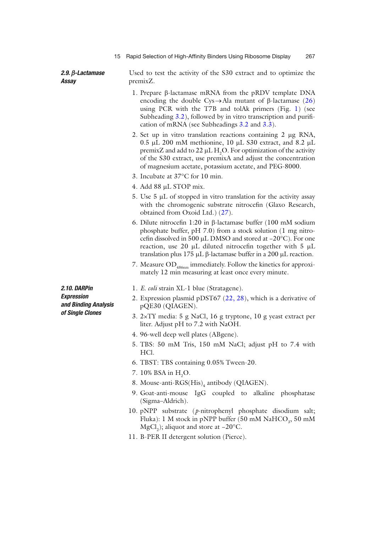**2.9.** *b* **-Lactamase Assay**

Used to test the activity of the S30 extract and to optimize the premixZ.

- 1. Prepare  $\beta$ -lactamase mRNA from the pRDV template DNA encoding the double Cys $\rightarrow$ Ala mutant of  $\beta$ -lactamase (26) using PCR with the T7B and tolAk primers (Fig. 1) (see Subheading  $3.2$ ), followed by in vitro transcription and purification of mRNA (see Subheadings  $3.2$  and  $3.3$ ).
- 2. Set up in vitro translation reactions containing  $2 \mu$ g RNA, 0.5  $\mu$ L 200 mM methionine, 10  $\mu$ L S30 extract, and 8.2  $\mu$ L premixZ and add to 22  $\mu$ L H<sub>2</sub>O. For optimization of the activity of the S30 extract, use premixA and adjust the concentration of magnesium acetate, potassium acetate, and PEG-8000.
- 3. Incubate at 37°C for 10 min.
- 4. Add 88 mL STOP mix.
- 5. Use  $5 \mu L$  of stopped in vitro translation for the activity assay with the chromogenic substrate nitrocefin (Glaxo Research, obtained from Oxoid Ltd.) (27).
- 6. Dilute nitrocefin 1:20 in  $\beta$ -lactamase buffer (100 mM sodium phosphate buffer, pH 7.0) from a stock solution (1 mg nitrocefin dissolved in 500 µL DMSO and stored at -20°C). For one reaction, use  $20 \mu L$  diluted nitrocefin together with  $5 \mu L$ translation plus  $175 \mu L$   $\beta$ -lactamase buffer in a 200  $\mu$ L reaction.
- 7. Measure OD<sub>486nm</sub> immediately. Follow the kinetics for approximately 12 min measuring at least once every minute.

 **2.10. DARPin Expression and Binding Analysis of Single Clones**

- 1. *E. coli* strain XL-1 blue (Stratagene).
- 2. Expression plasmid  $pDST67 (22, 28)$ , which is a derivative of pQE30 (QIAGEN).
- 3. 2×TY media: 5 g NaCl, 16 g tryptone, 10 g yeast extract per liter. Adjust pH to 7.2 with NaOH.
- 4. 96-well deep well plates (ABgene).
- 5. TBS: 50 mM Tris, 150 mM NaCl; adjust pH to 7.4 with HCl.
- 6. TBST: TBS containing 0.05% Tween-20.
- 7. 10% BSA in  $H_2O$ .
- 8. Mouse-anti-RGS(His)<sub>4</sub> antibody (QIAGEN).
	- 9. Goat-anti-mouse IgG coupled to alkaline phosphatase (Sigma–Aldrich).
- 10. pNPP substrate ( *p*-nitrophenyl phosphate disodium salt; Fluka): 1 M stock in pNPP buffer (50 mM NaHCO<sub>3</sub>, 50 mM  $MgCl<sub>2</sub>$ ); aliquot and store at –20°C.
- 11. B-PER II detergent solution (Pierce).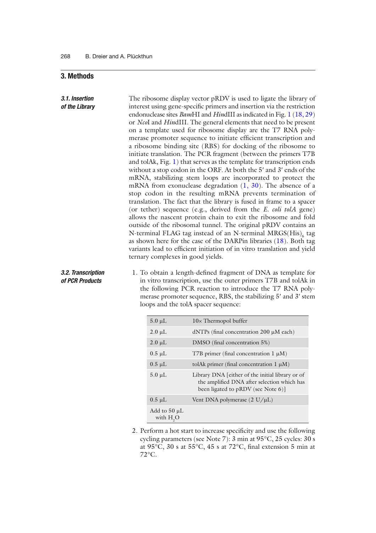### **3. Methods**

 **3.1. Insertion of the Library** The ribosome display vector pRDV is used to ligate the library of interest using gene-specific primers and insertion via the restriction endonuclease sites *Bam*HI and *Hin*dIII as indicated in Fig. 1 ( 18, 29) or *Nco*I and *Hin*dIII. The general elements that need to be present on a template used for ribosome display are the T7 RNA polymerase promoter sequence to initiate efficient transcription and a ribosome binding site (RBS) for docking of the ribosome to initiate translation. The PCR fragment (between the primers T7B and tolAk, Fig. 1) that serves as the template for transcription ends without a stop codon in the ORF. At both the 5' and 3' ends of the mRNA, stabilizing stem loops are incorporated to protect the mRNA from exonuclease degradation  $(1, 30)$ . The absence of a stop codon in the resulting mRNA prevents termination of translation. The fact that the library is fused in frame to a spacer (or tether) sequence (e.g., derived from the *E. coli tolA* gene) allows the nascent protein chain to exit the ribosome and fold outside of the ribosomal tunnel. The original pRDV contains an N-terminal FLAG tag instead of an N-terminal MRGS(His)<sub>6</sub> tag as shown here for the case of the DARPin libraries (18). Both tag variants lead to efficient initiation of in vitro translation and yield ternary complexes in good yields.

- **3.2. Transcription of PCR Products**
- 1. To obtain a length-defined fragment of DNA as template for in vitro transcription, use the outer primers T7B and tolAk in the following PCR reaction to introduce the T7 RNA polymerase promoter sequence, RBS, the stabilizing 5' and 3' stem loops and the tolA spacer sequence:

| $5.0 \mu L$                     | $10\times$ Thermopol buffer                                                                                                           |
|---------------------------------|---------------------------------------------------------------------------------------------------------------------------------------|
| $2.0 \mu L$                     | $dNTPs$ (final concentration 200 $\mu$ M each)                                                                                        |
| $2.0 \mu L$                     | DMSO (final concentration 5%)                                                                                                         |
| $0.5 \mu L$                     | T7B primer (final concentration $1 \mu M$ )                                                                                           |
| $0.5 \mu L$                     | tolAk primer (final concentration $1 \mu$ M)                                                                                          |
| $5.0 \mu L$                     | Library DNA [either of the initial library or of<br>the amplified DNA after selection which has<br>been ligated to pRDV (see Note 6)] |
| $0.5 \mu L$                     | Vent DNA polymerase $(2 U/ \mu L)$                                                                                                    |
| Add to $50 \mu L$<br>with $H2O$ |                                                                                                                                       |

2. Perform a hot start to increase specificity and use the following cycling parameters (see Note 7): 3 min at 95°C, 25 cycles: 30 s at  $95^{\circ}$ C, 30 s at  $55^{\circ}$ C, 45 s at  $72^{\circ}$ C, final extension 5 min at 72°C.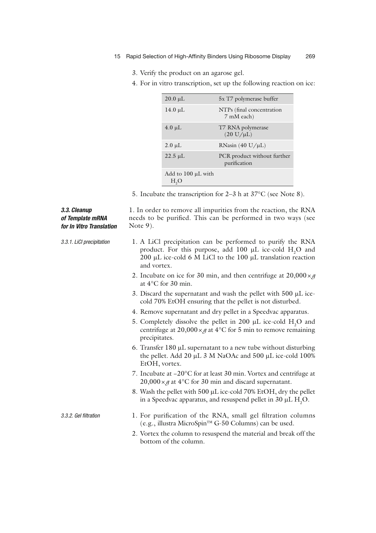- 15 Rapid Selection of High-Affinity Binders Using Ribosome Display 269
	- 3. Verify the product on an agarose gel.

 **3.3. Cleanup of Template mRNA for In Vitro Translation**

3.3.1. LiCl precipitation

3.3.2. Gel filtration

4. For in vitro transcription, set up the following reaction on ice:

| $20.0 \mu L$            | 5x T7 polymerase buffer                     |
|-------------------------|---------------------------------------------|
| $14.0 \mu L$            | NTPs (final concentration)<br>7 mM each)    |
| $4.0 \mu L$             | T7 RNA polymerase<br>$(20 U/\mu L)$         |
| $2.0 \mu L$             | RNasin $(40 \text{ U}/\mu\text{L})$         |
| $22.5 \mu L$            | PCR product without further<br>purification |
| Add to $100 \mu L$ with |                                             |

5. Incubate the transcription for 2–3 h at 37°C (see Note 8).

1. In order to remove allimpurities from the reaction, the RNA needs to be purified. This can be performed in two ways (see Note 9).

- 1. A LiCl precipitation can be performed to purify the RNA product. For this purpose, add 100  $\mu$ L ice-cold  $H_2$ O and 200  $\mu$ L ice-cold 6 M LiCl to the 100  $\mu$ L translation reaction and vortex.
	- 2. Incubate on ice for 30 min, and then centrifuge at  $20,000 \times g$ at 4°C for 30 min.
	- 3. Discard the supernatant and wash the pellet with  $500 \mu L$  icecold 70% EtOH ensuring that the pellet is not disturbed.
	- 4. Remove supernatant and dry pellet in a Speedvac apparatus.
	- 5. Completely dissolve the pellet in 200  $\mu$ L ice-cold H<sub>2</sub>O and centrifuge at  $20,000 \times g$  at  $4^{\circ}$ C for 5 min to remove remaining precipitates.
		- 6. Transfer  $180 \mu L$  supernatant to a new tube without disturbing the pellet. Add 20  $\mu$ L 3 M NaOAc and 500  $\mu$ L ice-cold 100% EtOH, vortex.
		- 7. Incubate at −20°C for at least 30 min. Vortex and centrifuge at  $20,000 \times g$  at 4°C for 30 min and discard supernatant.
		- 8. Wash the pellet with 500 µL ice-cold 70% EtOH, dry the pellet in a Speedvac apparatus, and resuspend pellet in 30  $\mu$ L H<sub>2</sub>O.
	- 1. For purification of the RNA, small gel filtration columns (e.g., illustra MicroSpin™ G-50 Columns) can be used.
	- 2. Vortex the column to resuspend the material and break off the bottom of the column.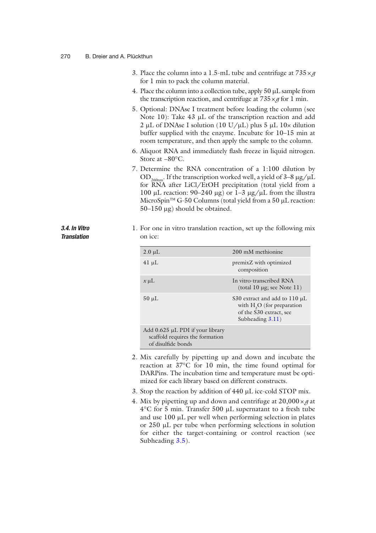**3.4. In Vitro Translation**

- 3. Place the column into a 1.5-mL tube and centrifuge at  $735 \times g$ for 1 min to pack the column material.
- 4. Place the column into a collection tube, apply 50 µL sample from the transcription reaction, and centrifuge at  $735 \times g$  for 1 min.
- 5. Optional: DNAse I treatment before loading the column ( see Note 10): Take  $43 \mu L$  of the transcription reaction and add  $2 \mu L$  of DNAse I solution (10 U/ $\mu$ L) plus 5  $\mu$ L 10× dilution buffer supplied with the enzyme. Incubate for 10–15 min at room temperature, and then apply the sample to the column.
- 6. Aliquot RNA and immediately flash freeze in liquid nitrogen. Store at −80°C.
- 7. Determine the RNA concentration of a 1:100 dilution by OD<sub>260nm</sub>. If the transcription worked well, a yield of  $3-8 \mu g/\mu L$ for RNA after LiCl/EtOH precipitation (total yield from a 100 µL reaction:  $90-240$  µg) or 1-3 µg/µL from the illustra MicroSpin™ G-50 Columns (total yield from a 50 µL reaction:  $50-150 \mu g$ ) should be obtained.
- 1. For one in vitro translation reaction, set up the following mix on ice:

| $2.0 \mu L$                                                                                    | $200 \text{ mM}$ methionine                                                                                                    |
|------------------------------------------------------------------------------------------------|--------------------------------------------------------------------------------------------------------------------------------|
| $41 \mu L$                                                                                     | premixZ with optimized<br>composition                                                                                          |
| $x \mu L$                                                                                      | In vitro-transcribed RNA<br>$(total 10 \mu g; see Note 11)$                                                                    |
| $50 \mu L$                                                                                     | S30 extract and add to $110 \mu L$<br>with H <sub>2</sub> O (for preparation<br>of the S30 extract, see<br>Subheading $3.11$ ) |
| Add $0.625 \mu L$ PDI if your library<br>scaffold requires the formation<br>of disulfide bonds |                                                                                                                                |

- 2. Mix carefully by pipetting up and down and incubate the reaction at 37°C for 10 min, the time found optimal for DARPins. The incubation time and temperature must be optimized for each library based on different constructs.
- 3. Stop the reaction by addition of  $440 \mu L$  ice-cold STOP mix.
- 4. Mix by pipetting up and down and centrifuge at  $20,000 \times g$  at  $4^{\circ}$ C for 5 min. Transfer 500 µL supernatant to a fresh tube and use 100 µL per well when performing selection in plates or 250 µL per tube when performing selections in solution for either the target-containing or control reaction (see Subheading 3.5).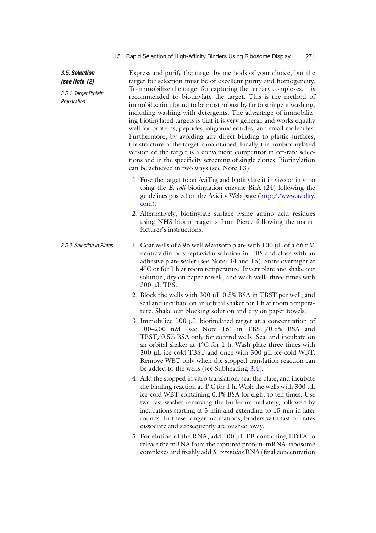**3.5. Selection ( see Note 12 )**

 3.5.1. Target Protein Preparation

Express and purify the target by methods of your choice, but the target for selection must be of excellent purity and homogeneity. To immobilize the target for capturing the ternary complexes, it is recommended to biotinylate the target. This is the method of immobilization found to be most robust by far to stringent washing, including washing with detergents. The advantage of immobilizing biotinylated targets is that it is very general, and works equally well for proteins, peptides, oligonucleotides, and small molecules. Furthermore, by avoiding any direct binding to plastic surfaces, the structure of the target is maintained. Finally, the nonbiotinylated version of the target is a convenient competitor in off-rate selections and in the specificity screening of single clones. Biotinylation can be achieved in two ways (see Note 13).

- 1. Fuse the target to an AviTag and biotinylate it in vivo or in vitro using the *E. coli* biotinylation enzyme BirA  $(24)$  following the guidelines posted on the Avidity Web page ( http://www.avidity. com).
- 2. Alternatively, biotinylate surface lysine amino acid residues using NHS-biotin reagents from Pierce following the manufacturer's instructions.
- 1. Coat wells of a 96 well Maxisorp plate with  $100 \mu L$  of a 66 nM neutravidin or streptavidin solution in TBS and close with an adhesive plate sealer ( see Notes 14and 15 ). Store overnight at 4°C or for 1 h at room temperature. Invert plate and shake out solution, dry on paper towels, and wash wells three times with 300 mL TBS. 3.5.2. Selection in Plates
	- 2. Block the wells with  $300 \mu L$  0.5% BSA in TBST per well, and seal and incubate on an orbital shaker for 1 h at room temperature. Shake out blocking solution and dry on paper towels.
	- 3. Immobilize  $100 \mu L$  biotinylated target at a concentration of 100–200 nM (see Note 16) in TBST/0.5% BSA and TBST/0.5% BSA only for control wells. Seal and incubate on an orbital shaker at 4°C for 1 h. Wash plate three times with 300 mL ice-cold TBST and once with 300 mL ice-cold WBT. Remove WBT only when the stopped translation reaction can be added to the wells (see Subheading 3.4).
	- 4. Add the stopped in vitro translation, seal the plate, and incubate the binding reaction at  $4^{\circ}$ C for 1 h. Wash the wells with 300  $\mu$ L ice-cold WBT containing 0.1% BSA for eight to ten times. Use two fast washes removing the buffer immediately, followed by incubations starting at 5 min and extending to 15 min in later rounds. In these longer incubations, binders with fast off-rates dissociate and subsequently are washed away.
	- 5. For elution of the RNA, add 100 µL EB containing EDTA to release the mRNA from the captured protein–mRNA–ribosome complexes and freshly add *S. cerevisiae* RNA (final concentration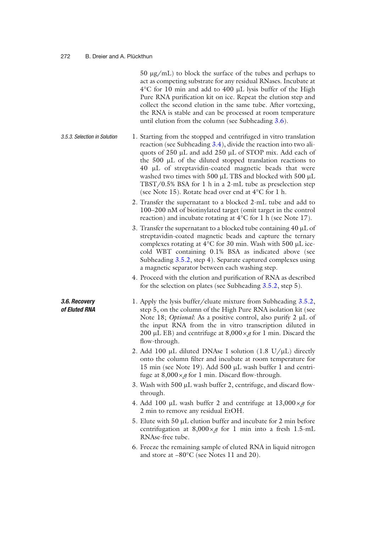**3.6. Recovery of Eluted RNA**  $50 \mu g/mL$ ) to block the surface of the tubes and perhaps to act as competing substrate for any residual RNases. Incubate at 4°C for 10 min and add to 400 mL lysis buffer of the High Pure RNA purification kit on ice. Repeat the elution step and collect the second elution in the same tube. After vortexing, the RNA is stable and can be processed at room temperature until elution from the column (see Subheading  $3.6$ ).

- 1. Starting from the stopped and centrifuged in vitro translation reaction (see Subheading  $3.4$ ), divide the reaction into two aliquots of 250 mL and add 250 mL of STOP mix. Add each of the 500 µL of the diluted stopped translation reactions to 40 mL of streptavidin-coated magnetic beads that were washed two times with  $500 \mu L$  TBS and blocked with  $500 \mu L$ TBST/0.5% BSA for 1 h in a 2-mL tube as preselection step (see Note 15). Rotate head over end at 4°C for 1 h. 3.5.3. Selection in Solution
	- 2. Transfer the supernatant to a blocked 2-mL tube and add to 100–200 nM of biotinylated target (omit target in the control reaction) and incubate rotating at  $4^{\circ}$ C for 1 h (see Note 17).
	- 3. Transfer the supernatant to a blocked tube containing  $40 \mu L$  of streptavidin-coated magnetic beads and capture the ternary complexes rotating at  $4^{\circ}$ C for 30 min. Wash with 500 µL icecold WBT containing  $0.1\%$  BSA as indicated above (see Subheading  $3.5.2$ , step 4). Separate captured complexes using a magnetic separator between each washing step.
	- 4. Proceed with the elution and purification of RNA as described for the selection on plates (see Subheading  $3.5.2$ , step 5).
	- 1. Apply the lysis buffer/eluate mixture from Subheading 3.5.2, step 5 , on the column of the High Pure RNA isolation kit ( see Note 18; *Optional*: As a positive control, also purify 2 µL of the input RNA from the in vitro transcription diluted in 200  $\mu$ L EB) and centrifuge at  $8,000 \times g$  for 1 min. Discard the flow-through.
		- 2. Add 100  $\mu$ L diluted DNAse I solution (1.8 U/ $\mu$ L) directly onto the column filter and incubate at room temperature for 15 min (see Note 19). Add 500 µL wash buffer 1 and centrifuge at  $8,000 \times g$  for 1 min. Discard flow-through.
		- 3. Wash with  $500 \mu L$  wash buffer 2, centrifuge, and discard flowthrough.
		- 4. Add 100  $\mu$ L wash buffer 2 and centrifuge at  $13,000 \times g$  for 2 min to remove any residual EtOH.
		- 5. Elute with 50  $\mu$ L elution buffer and incubate for 2 min before centrifugation at  $8,000 \times g$  for 1 min into a fresh 1.5-mL RNAse-free tube.
		- 6. Freeze the remaining sample of eluted RNA in liquid nitrogen and store at –80°C (see Notes 11 and 20).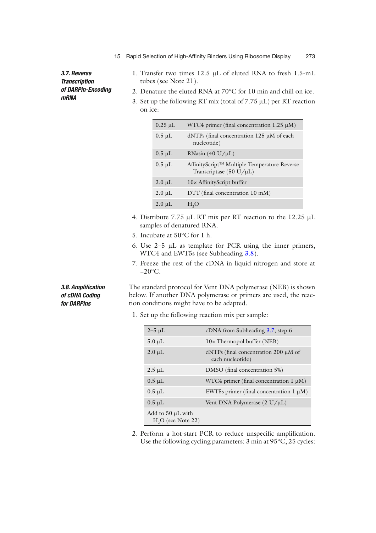15 Rapid Selection of High-Affinity Binders Using Ribosome Display 273

#### **3.7. Reverse Transcription of DARPin-Encoding mRNA**

**3.8. Amplification of cDNA Coding for DARPins**

- 1. Transfer two times 12.5 mL of eluted RNA to fresh 1.5-mL tubes (see Note 21).
- 2. Denature the eluted RNA at 70°C for 10 min and chill on ice.
- 3. Set up the following RT mix (total of  $7.75 \mu L$ ) per RT reaction on ice:

| $0.25 \mu L$ | WTC4 primer (final concentration $1.25 \mu M$ )                                           |
|--------------|-------------------------------------------------------------------------------------------|
| $0.5 \mu L$  | $dNTPs$ (final concentration 125 $\mu$ M of each<br>nucleotide)                           |
| $0.5 \mu L$  | RNasin $(40 \text{ U}/\mu\text{L})$                                                       |
| $0.5 \mu L$  | AffinityScript <sup>™</sup> Multiple Temperature Reverse<br>Transcriptase (50 $U/\mu L$ ) |
| $2.0 \mu L$  | 10× AffinityScript buffer                                                                 |
| $2.0 \mu L$  | DTT (final concentration 10 mM)                                                           |
| $2.0 \mu L$  | H <sub>2</sub> O                                                                          |

- 4. Distribute 7.75 µL RT mix per RT reaction to the 12.25 µL samples of denatured RNA.
- 5. Incubate at 50°C for 1 h.
- 6. Use  $2-5$   $\mu$ L as template for PCR using the inner primers, WTC4 and EWT5s (see Subheading 3.8).
- 7. Freeze the rest of the cDNA in liquid nitrogen and store at −20°C.

The standard protocol for Vent DNA polymerase (NEB) is shown below. If another DNA polymerase or primers are used, the reaction conditions might have to be adapted.

1. Set up the following reaction mix per sample:

| $2-5$ $\mu$ L                                 | cDNA from Subheading 3.7, step 6                              |
|-----------------------------------------------|---------------------------------------------------------------|
| $5.0 \mu L$                                   | $10\times$ Thermopol buffer (NEB)                             |
| $2.0 \mu L$                                   | dNTPs (final concentration 200 $\mu$ M of<br>each nucleotide) |
| $2.5 \mu L$                                   | DMSO (final concentration 5%)                                 |
| $0.5 \mu L$                                   | WTC4 primer (final concentration $1 \mu$ M)                   |
| $0.5 \mu L$                                   | EWT5s primer (final concentration $1 \mu$ M)                  |
| $0.5 \mu L$                                   | Vent DNA Polymerase $(2 U/ \mu L)$                            |
| Add to $50 \mu L$ with<br>$H2O$ (see Note 22) |                                                               |

2. Perform a hot-start PCR to reduce unspecific amplification. Use the following cycling parameters: 3 min at 95°C, 25 cycles: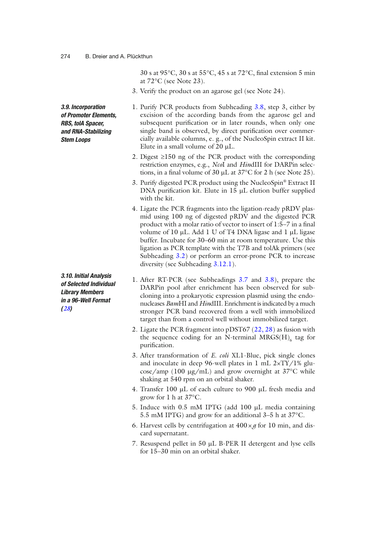30 s at  $95^{\circ}$ C, 30 s at  $55^{\circ}$ C, 45 s at  $72^{\circ}$ C, final extension 5 min at 72°C ( see Note 23 ).

3. Verify the product on an agarose gel ( see Note 24 ).

 **3.9. Incorporation of Promoter Elements, RBS, tolA Spacer, and RNA-Stabilizing Stem Loops**

 **3.10. Initial Analysis of Selected Individual Library Members in a 96-Well Format (** *28* **)** 

- 1. Purify PCR products from Subheading 3.8, step 3 , either by excision of the according bands from the agarose gel and subsequent purification or in later rounds, when only one single band is observed, by direct purification over commercially available columns, e. g., of the NucleoSpin extract II kit. Elute in a small volume of  $20 \mu L$ .
- 2. Digest  $\geq 150$  ng of the PCR product with the corresponding restriction enzymes, e.g., *Nco*I and *Hin*dIII for DARPin selections, in a final volume of 30  $\mu$ L at 37°C for 2 h (see Note 25).
- 3. Purify digested PCR product using the NucleoSpin® Extract II DNA purification kit. Elute in  $15 \mu L$  elution buffer supplied with the kit.
- 4. Ligate the PCR fragments into the ligation-ready pRDV plasmid using 100 ng of digested pRDV and the digested PCR product with a molar ratio of vector to insert of 1:5–7 in a final volume of  $10 \mu L$ . Add  $1 \text{ U}$  of T4 DNA ligase and  $1 \mu L$  ligase buffer. Incubate for 30–60 min at room temperature. Use this ligation as PCR template with the T7B and tolAk primers ( see Subheading  $3.2$ ) or perform an error-prone PCR to increase diversity (see Subheading  $3.12.1$ ).
- 1. After RT-PCR ( see Subheadings 3.7 and 3.8), prepare the DARPin pool after enrichment has been observed for subcloning into a prokaryotic expression plasmid using the endonucleases *Bam*HI and *Hin*dIII. Enrichment is indicated by a much stronger PCR band recovered from a well with immobilized target than from a control well without immobilized target.
- 2. Ligate the PCR fragment into  $pDST67 (22, 28)$  as fusion with the sequence coding for an N-terminal  $MRGS(H)_{6}$  tag for purification.
- 3. After transformation of *E. coli* XL1-Blue, pick single clones and inoculate in deep 96-well plates in 1 mL  $2\times$ TY/1% glu- $\cos\theta$  amp (100  $\mu$ g/mL) and grow overnight at 37°C while shaking at 540 rpm on an orbital shaker.
- 4. Transfer 100 µL of each culture to 900 µL fresh media and grow for 1 h at 37°C.
- 5. Induce with 0.5 mM IPTG (add 100 mL media containing 5.5 mM IPTG) and grow for an additional 3–5 h at 37°C.
- 6. Harvest cells by centrifugation at  $400 \times g$  for 10 min, and discard supernatant.
- 7. Resuspend pellet in 50 µL B-PER II detergent and lyse cells for 15–30 min on an orbital shaker.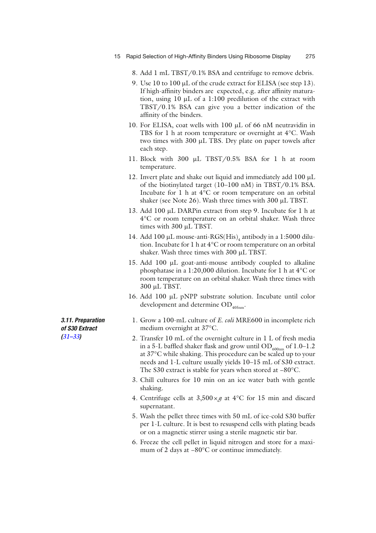- 15 Rapid Selection of High-Affinity Binders Using Ribosome Display 275
	- 8. Add 1 mL TBST/0.1% BSA and centrifuge to remove debris.
	- 9. Use 10 to 100  $\mu$ L of the crude extract for ELISA (see step 13). If high-affinity binders are expected, e.g. after affinity maturation, using  $10 \mu L$  of a 1:100 predilution of the extract with TBST/0.1% BSA can give you a better indication of the affinity of the binders.
	- 10. For ELISA, coat wells with 100 µL of 66 nM neutravidin in TBS for 1 h at room temperature or overnight at 4°C. Wash two times with  $300 \mu L$  TBS. Dry plate on paper towels after each step.
	- 11. Block with 300 µL TBST/0.5% BSA for 1 h at room temperature.
	- 12. Invert plate and shake out liquid and immediately add 100 mL of the biotinylated target (10–100 nM) in TBST/0.1% BSA. Incubate for 1 h at 4°C or room temperature on an orbital shaker (see Note  $26$ ). Wash three times with  $300 \mu L$  TBST.
	- 13. Add 100  $\mu$ L DARPin extract from step 9. Incubate for 1 h at 4°C or room temperature on an orbital shaker. Wash three times with 300 µL TBST.
	- 14. Add 100  $\mu$ L mouse-anti-RGS(His)<sub>4</sub> antibody in a 1:5000 dilution. Incubate for 1 h at 4°C or room temperature on an orbital shaker. Wash three times with  $300 \mu L$  TBST.
	- 15. Add 100 µL goat-anti-mouse antibody coupled to alkaline phosphatase in a 1:20,000 dilution. Incubate for 1 h at 4°C or room temperature on an orbital shaker. Wash three times with 300 mL TBST.
	- 16. Add 100 uL pNPP substrate solution. Incubate until color development and determine  $OD$ <sub>405nm</sub>.
	- 1. Grow a 100-mL culture of *E. coli* MRE600 in incomplete rich medium overnight at 37°C.
	- 2. Transfer 10 mL of the overnight culture in 1 L of fresh media in a 5-L baffled shaker flask and grow until OD<sub>600nm</sub> of 1.0–1.2 at 37°C while shaking. This procedure can be scaled up to your needs and 1-L culture usually yields 10–15 mL of S30 extract. The S30 extract is stable for years when stored at −80°C.
	- 3. Chill cultures for 10 min on an ice water bath with gentle shaking.
	- 4. Centrifuge cells at  $3,500 \times g$  at 4°C for 15 min and discard supernatant.
	- 5. Wash the pellet three times with 50 mL of ice-cold S30 buffer per 1-L culture. It is best to resuspend cells with plating beads or on a magnetic stirrer using a sterile magnetic stir bar.
	- 6. Freeze the cell pellet in liquid nitrogen and store for a maximum of 2 days at −80°C or continue immediately.

 **3.11. Preparation of S30 Extract**   $(31-33)$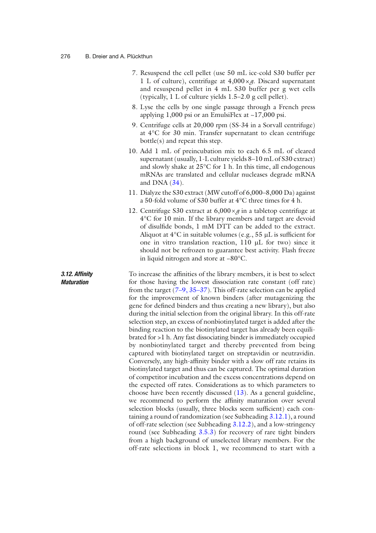**3.12. Affinity Maturation**

- 7. Resuspend the cell pellet (use 50 mL ice-cold S30 buffer per 1 L of culture), centrifuge at  $4,000 \times g$ . Discard supernatant and resuspend pellet in 4 mL S30 buffer per g wet cells (typically, 1 L of culture yields 1.5–2.0 g cell pellet).
- 8. Lyse the cells by one single passage through a French press applying 1,000 psi or an EmulsiFlex at ~17,000 psi.
- 9. Centrifuge cells at 20,000 rpm (SS-34 in a Sorvall centrifuge) at 4°C for 30 min. Transfer supernatant to clean centrifuge bottle(s) and repeat this step.
- 10. Add 1 mL of preincubation mix to each 6.5 mL of cleared supernatant (usually, 1-L culture yields 8–10 mL of S30 extract) and slowly shake at 25°C for 1 h. In this time, all endogenous mRNAs are translated and cellular nucleases degrade mRNA and DNA  $(34)$ .
- 11. Dialyze the S30 extract (MW cutoff of 6,000–8,000 Da) against a 50-fold volume of S30 buffer at 4°C three times for 4 h.
- 12. Centrifuge S30 extract at  $6,000 \times g$  in a tabletop centrifuge at 4°C for 10 min. If the library members and target are devoid of disulfide bonds, 1 mM DTT can be added to the extract. Aliquot at  $4^{\circ}$ C in suitable volumes (e.g., 55  $\mu$ L is sufficient for one in vitro translation reaction, 110 mL for two) since it should not be refrozen to guarantee best activity. Flash freeze in liquid nitrogen and store at −80°C.

To increase the affinities of the library members, it is best to select for those having the lowest dissociation rate constant (off rate) from the target  $(7-9, 35-37)$ . This off-rate selection can be applied for the improvement of known binders (after mutagenizing the gene for defined binders and thus creating a new library), but also during the initial selection from the original library. In this off-rate selection step, an excess of nonbiotinylated target is added after the binding reaction to the biotinylated target has already been equilibrated for >1 h. Any fast dissociating binder is immediately occupied by nonbiotinylated target and thereby prevented from being captured with biotinylated target on streptavidin or neutravidin. Conversely, any high-affinity binder with a slow off rate retains its biotinylated target and thus can be captured. The optimal duration of competitor incubation and the excess concentrations depend on the expected off rates. Considerations as to which parameters to choose have been recently discussed  $(13)$ . As a general guideline, we recommend to perform the affinity maturation over several selection blocks (usually, three blocks seem sufficient) each containing a round of randomization (see Subheading 3.12.1), a round of off-rate selection (see Subheading  $3.12.2$ ), and a low-stringency round (see Subheading  $3.5.3$ ) for recovery of rare tight binders from a high background of unselected library members. For the off-rate selections in block 1, we recommend to start with a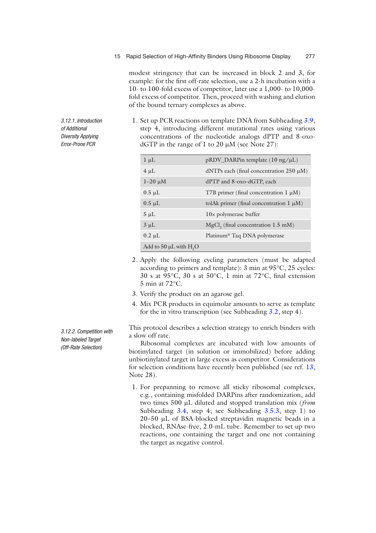modest stringency that can be increased in block 2 and 3, for example: for the first off-rate selection, use a 2-h incubation with a 10- to 100-fold excess of competitor, later use a 1,000- to 10,000 fold excess of competitor. Then, proceed with washing and elution of the bound ternary complexes as above.

 3.12.1. Introduction of Additional Diversity Applying Error-Prone PCR

 1. Set up PCR reactions on template DNA from Subheading 3.9, step 4, introducing different mutational rates using various concentrations of the nucleotide analogs dPTP and 8-oxodGTP in the range of 1 to 20  $\mu$ M (see Note 27):

| $1 \mu L$                               | $pRDV_DARPin$ template (10 ng/ $\mu$ L)       |
|-----------------------------------------|-----------------------------------------------|
| $4 \mu L$                               | dNTPs each (final concentration 250 µM)       |
| $1-20 \mu M$                            | dPTP and 8-oxo-dGTP, each                     |
| $0.5 \mu L$                             | T7B primer (final concentration 1 µM)         |
| $0.5 \mu L$                             | tolAk primer (final concentration $1 \mu M$ ) |
| $5 \mu L$                               | $10\times$ polymerase buffer                  |
| $3 \mu L$                               | MgCl, (final concentration 1.5 mM)            |
| $0.2 \mu L$                             | Platinum <sup>®</sup> Taq DNA polymerase      |
| Add to 50 $\mu$ L with H <sub>2</sub> O |                                               |

- 2. Apply the following cycling parameters (must be adapted according to primers and template): 3 min at 95°C, 25 cycles: 30 s at 95°C, 30 s at 50°C, 1 min at 72°C, final extension 5 min at 72°C.
- 3. Verify the product on an agarose gel.
- 4. Mix PCR products in equimolar amounts to serve as template for the in vitro transcription (see Subheading  $3.2$ , step 4).

This protocol describes a selection strategy to enrich binders with a slow off rate.

Ribosomal complexes are incubated with low amounts of biotinylated target (in solution or immobilized) before adding unbiotinylated target in large excess as competitor. Considerations for selection conditions have recently been published (see ref. 13, Note 28 ).

 1. For prepanning to remove all sticky ribosomal complexes, e.g., containing misfolded DARPins after randomization, add two times 500 mL diluted and stopped translation mix ( *from* Subheading  $3.4$ , step  $4$ ; see Subheading  $3.5.3$ , step 1) to 20–50 mL of BSA-blocked streptavidin magnetic beads in a blocked, RNAse-free, 2.0-mL tube. Remember to set up two reactions, one containing the target and one not containing the target as negative control.

 3.12.2. Competition with Non-labeled Target (Off-Rate Selection)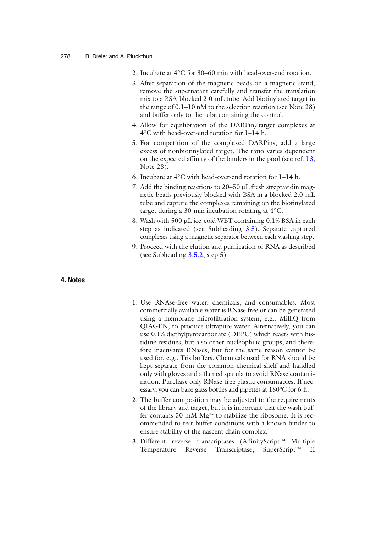- 2. Incubate at 4°C for 30–60 min with head-over-end rotation.
- 3. After separation of the magnetic beads on a magnetic stand, remove the supernatant carefully and transfer the translation mix to a BSA-blocked 2.0-mL tube. Add biotinylated target in the range of  $0.1-10$  nM to the selection reaction (see Note 28) and buffer only to the tube containing the control.
- 4. Allow for equilibration of the DARPin/target complexes at 4°C with head-over-end rotation for 1–14 h.
- 5. For competition of the complexed DARPins, add a large excess of nonbiotinylated target. The ratio varies dependent on the expected affinity of the binders in the pool (see ref.  $13$ , Note 28 ).
- 6. Incubate at 4°C with head-over-end rotation for 1–14 h.
- 7. Add the binding reactions to  $20-50 \mu L$  fresh streptavidin magnetic beads previously blocked with BSA in a blocked 2.0-mL tube and capture the complexes remaining on the biotinylated target during a 30-min incubation rotating at 4°C.
- 8. Wash with  $500 \mu L$  ice-cold WBT containing 0.1% BSA in each step as indicated (see Subheading 3.5). Separate captured complexes using a magnetic separator between each washing step.
- 9. Proceed with the elution and purification of RNA as described (see Subheading  $3.5.2$ , step 5).

#### **4. Notes**

- 1. Use RNAse-free water, chemicals, and consumables. Most commercially available water is RNase free or can be generated using a membrane microfiltration system, e.g., MilliQ from QIAGEN, to produce ultrapure water. Alternatively, you can use 0.1% diethylpyrocarbonate (DEPC) which reacts with histidine residues, but also other nucleophilic groups, and therefore inactivates RNases, but for the same reason cannot be used for, e.g., Tris buffers. Chemicals used for RNA should be kept separate from the common chemical shelf and handled only with gloves and a flamed spatula to avoid RNase contamination. Purchase only RNase-free plastic consumables. If necessary, you can bake glass bottles and pipettes at 180°C for 6 h.
- 2. The buffer composition may be adjusted to the requirements of the library and target, but it is important that the wash buffer contains 50 mM  $Mg^{2+}$  to stabilize the ribosome. It is recommended to test buffer conditions with a known binder to ensure stability of the nascent chain complex.
- 3. Different reverse transcriptases (AffinityScript™ Multiple Temperature Reverse Transcriptase, SuperScript™ II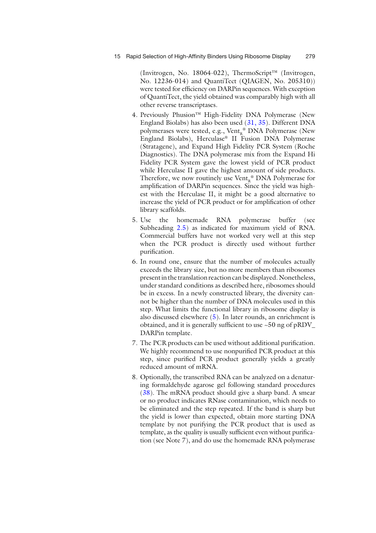(Invitrogen, No. 18064-022), ThermoScript™ (Invitrogen, No. 12236-014) and QuantiTect (QIAGEN, No. 205310)) were tested for efficiency on DARPin sequences. With exception of QuantiTect, the yield obtained was comparably high with all other reverse transcriptases.

- 4. Previously Phusion™ High-Fidelity DNA Polymerase (New England Biolabs) has also been used  $(31, 35)$ . Different DNA polymerases were tested, e.g., Vent<sub>r</sub>® DNA Polymerase (New England Biolabs), Herculase® II Fusion DNA Polymerase (Stratagene), and Expand High Fidelity PCR System (Roche Diagnostics). The DNA polymerase mix from the Expand Hi Fidelity PCR System gave the lowest yield of PCR product while Herculase II gave the highest amount of side products. Therefore, we now routinely use  $\mathrm{Vert}_{R}^{\otimes}$  DNA Polymerase for amplification of DARPin sequences. Since the yield was highest with the Herculase II, it might be a good alternative to increase the yield of PCR product or for amplification of other library scaffolds.
- 5. Use the homemade RNA polymerase buffer ( see Subheading 2.5) as indicated for maximum yield of RNA. Commercial buffers have not worked very well at this step when the PCR product is directly used without further purification.
- 6. In round one, ensure that the number of molecules actually exceeds the library size, but no more members than ribosomes present in the translation reaction can be displayed. Nonetheless, under standard conditions as described here, ribosomes should be in excess. In a newly constructed library, the diversity cannot be higher than the number of DNA molecules used in this step. What limits the functional library in ribosome display is also discussed elsewhere  $(5)$ . In later rounds, an enrichment is obtained, and it is generally sufficient to use  $\sim 50$  ng of pRDV DARPin template.
- 7. The PCR products can be used without additional purification. We highly recommend to use nonpurified PCR product at this step, since purified PCR product generally yields a greatly reduced amount of mRNA.
- 8. Optionally, the transcribed RNA can be analyzed on a denaturing formaldehyde agarose gel following standard procedures  $(38)$ . The mRNA product should give a sharp band. A smear or no product indicates RNase contamination, which needs to be eliminated and the step repeated. If the band is sharp but the yield is lower than expected, obtain more starting DNA template by not purifying the PCR product that is used as template, as the quality is usually sufficient even without purification (see Note 7), and do use the homemade RNA polymerase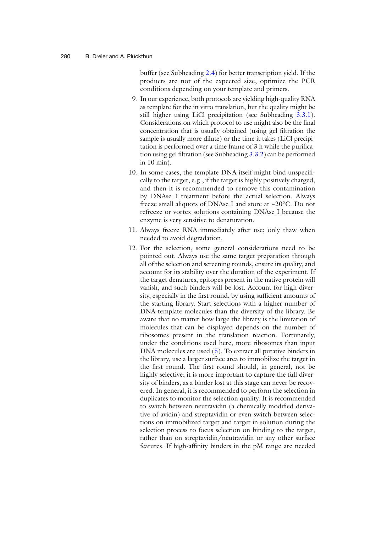buffer (see Subheading  $2.4$ ) for better transcription yield. If the products are not of the expected size, optimize the PCR conditions depending on your template and primers.

- 9. In our experience, both protocols are yielding high-quality RNA as template for the in vitro translation, but the quality might be still higher using LiCl precipitation (see Subheading 3.3.1). Considerations on which protocol to use might also be the final concentration that is usually obtained (using gel filtration the sample is usually more dilute) or the time it takes (LiCl precipitation is performed over a time frame of 3 h while the purification using gel filtration (see Subheading  $3.3.2$ ) can be performed in 10 min).
- 10. In some cases, the template DNA itself might bind unspecifically to the target, e.g., if the target is highly positively charged, and then it is recommended to remove this contamination by DNAse I treatment before the actual selection. Always freeze small aliquots of DNAse I and store at −20°C. Do not refreeze or vortex solutions containing DNAse I because the enzyme is very sensitive to denaturation.
- 11. Always freeze RNA immediately after use; only thaw when needed to avoid degradation.
- 12. For the selection, some general considerations need to be pointed out. Always use the same target preparation through all of the selection and screening rounds, ensure its quality, and account for its stability over the duration of the experiment. If the target denatures, epitopes present in the native protein will vanish, and such binders will be lost. Account for high diversity, especially in the first round, by using sufficient amounts of the starting library. Start selections with a higher number of DNA template molecules than the diversity of the library. Be aware that no matter how large the library is the limitation of molecules that can be displayed depends on the number of ribosomes present in the translation reaction. Fortunately, under the conditions used here, more ribosomes than input DNA molecules are used  $(5)$ . To extract all putative binders in the library, use a larger surface area to immobilize the target in the first round. The first round should, in general, not be highly selective; it is more important to capture the full diversity of binders, as a binder lost at this stage can never be recovered. In general, it is recommended to perform the selection in duplicates to monitor the selection quality. It is recommended to switch between neutravidin (a chemically modified derivative of avidin) and streptavidin or even switch between selections on immobilized target and target in solution during the selection process to focus selection on binding to the target, rather than on streptavidin/neutravidin or any other surface features. If high-affinity binders in the pM range are needed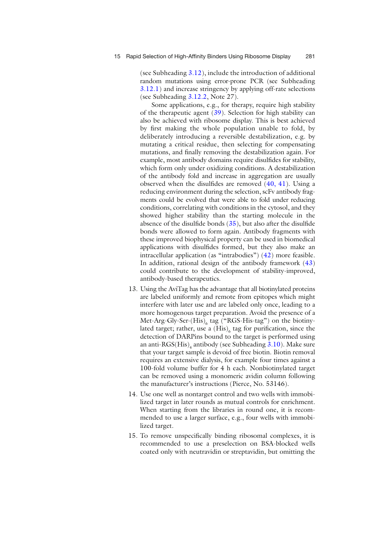(see Subheading  $3.12$ ), include the introduction of additional random mutations using error-prone PCR (see Subheading 3.12.1) and increase stringency by applying off-rate selections (see Subheading  $3.12.2$ , Note  $27$ ).

Some applications, e.g., for therapy, require high stability of the therapeutic agent  $(39)$ . Selection for high stability can also be achieved with ribosome display. This is best achieved by first making the whole population unable to fold, by deliberately introducing a reversible destabilization, e.g. by mutating a critical residue, then selecting for compensating mutations, and finally removing the destabilization again. For example, most antibody domains require disulfides for stability, which form only under oxidizing conditions. A destabilization of the antibody fold and increase in aggregation are usually observed when the disulfides are removed  $(40, 41)$ . Using a reducing environment during the selection, scFv antibody fragments could be evolved that were able to fold under reducing conditions, correlating with conditions in the cytosol, and they showed higher stability than the starting molecule in the absence of the disulfide bonds  $(35)$ , but also after the disulfide bonds were allowed to form again. Antibody fragments with these improved biophysical property can be used in biomedical applications with disulfides formed, but they also make an intracellular application (as "intrabodies")  $(42)$  more feasible. In addition, rational design of the antibody framework  $(43)$ could contribute to the development of stability-improved, antibody-based therapeutics.

- 13. Using the AviTag has the advantage that all biotinylated proteins are labeled uniformly and remote from epitopes which might interfere with later use and are labeled only once, leading to a more homogenous target preparation. Avoid the presence of a Met-Arg-Gly-Ser-(His)<sub>6</sub> tag ("RGS-His-tag") on the biotinylated target; rather, use a  $(His)_{6}$  tag for purification, since the detection of DARPins bound to the target is performed using an anti- $\mathrm{RGS(His)}_{4}$  antibody (see Subheading  $3.10$ ). Make sure that your target sample is devoid of free biotin. Biotin removal requires an extensive dialysis, for example four times against a 100-fold volume buffer for 4 h each. Nonbiotinylated target can be removed using a monomeric avidin column following the manufacturer's instructions (Pierce, No. 53146).
- 14. Use one well as nontarget control and two wells with immobilized target in later rounds as mutual controls for enrichment. When starting from the libraries in round one, it is recommended to use a larger surface, e.g., four wells with immobilized target.
- 15. To remove unspecifically binding ribosomal complexes, it is recommended to use a preselection on BSA-blocked wells coated only with neutravidin or streptavidin, but omitting the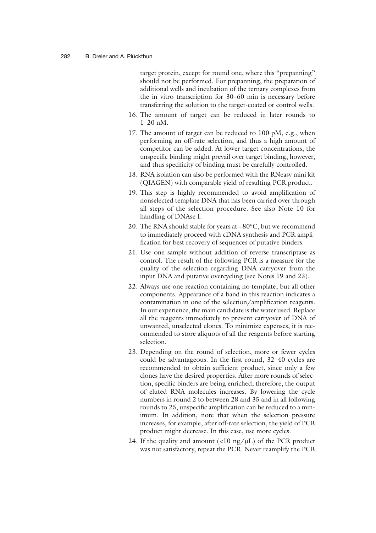target protein, except for round one, where this "prepanning" should not be performed. For prepanning, the preparation of additional wells and incubation of the ternary complexes from the in vitro transcription for 30–60 min is necessary before transferring the solution to the target-coated or control wells.

- 16. The amount of target can be reduced in later rounds to 1–20 nM.
- 17. The amount of target can be reduced to 100 pM, e.g., when performing an off-rate selection, and thus a high amount of competitor can be added. At lower target concentrations, the unspecific binding might prevail over target binding, however, and thus specificity of binding must be carefully controlled.
- 18. RNA isolation can also be performed with the RNeasy mini kit (QIAGEN) with comparable yield of resulting PCR product.
- 19. This step is highly recommended to avoid amplification of nonselected template DNA that has been carried over through all steps of the selection procedure. See also Note 10 for handling of DNAse I.
- 20. The RNA should stable for years at −80°C, but we recommend to immediately proceed with cDNA synthesis and PCR amplification for best recovery of sequences of putative binders.
- 21. Use one sample without addition of reverse transcriptase as control. The result of the following PCR is a measure for the quality of the selection regarding DNA carryover from the input DNA and putative overcycling (see Notes 19 and 23).
- 22. Always use one reaction containing no template, but all other components. Appearance of a band in this reaction indicates a contamination in one of the selection/amplification reagents. In our experience, the main candidate is the water used. Replace all the reagents immediately to prevent carryover of DNA of unwanted, unselected clones. To minimize expenses, it is recommended to store aliquots of all the reagents before starting selection.
- 23. Depending on the round of selection, more or fewer cycles could be advantageous. In the first round,  $32-40$  cycles are recommended to obtain sufficient product, since only a few clones have the desired properties. After more rounds of selection, specific binders are being enriched; therefore, the output of eluted RNA molecules increases. By lowering the cycle numbers in round 2 to between 28 and 35 and in all following rounds to 25, unspecific amplification can be reduced to a minimum. In addition, note that when the selection pressure increases, for example, after off-rate selection, the yield of PCR product might decrease. In this case, use more cycles.
- 24. If the quality and amount  $(\langle 10 \rangle \text{ng/}\mu\text{L})$  of the PCR product was not satisfactory, repeat the PCR. Never reamplify the PCR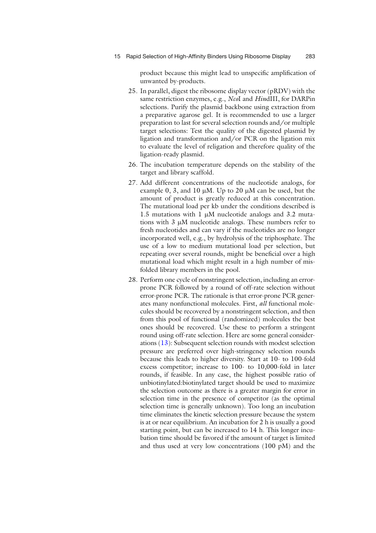15 Rapid Selection of High-Affinity Binders Using Ribosome Display 283

product because this might lead to unspecific amplification of unwanted by-products.

- 25. In parallel, digest the ribosome display vector (pRDV) with the same restriction enzymes, e.g., *Nco*I and *Hin*dIII, for DARPin selections. Purify the plasmid backbone using extraction from a preparative agarose gel. It is recommended to use a larger preparation to last for several selection rounds and/or multiple target selections: Test the quality of the digested plasmid by ligation and transformation and/or PCR on the ligation mix to evaluate the level of religation and therefore quality of the ligation-ready plasmid.
- 26. The incubation temperature depends on the stability of the target and library scaffold.
- 27. Add different concentrations of the nucleotide analogs, for example 0, 3, and 10  $\mu$ M. Up to 20  $\mu$ M can be used, but the amount of product is greatly reduced at this concentration. The mutational load per kb under the conditions described is 1.5 mutations with 1  $\mu$ M nucleotide analogs and 3.2 mutations with  $3 \mu$ M nucleotide analogs. These numbers refer to fresh nucleotides and can vary if the nucleotides are no longer incorporated well, e.g., by hydrolysis of the triphosphate. The use of a low to medium mutational load per selection, but repeating over several rounds, might be beneficial over a high mutational load which might result in a high number of misfolded library members in the pool.
- 28. Perform one cycle of nonstringent selection, including an errorprone PCR followed by a round of off-rate selection without error-prone PCR. The rationale is that error-prone PCR generates many nonfunctional molecules. First, *all* functional molecules should be recovered by a nonstringent selection, and then from this pool of functional (randomized) molecules the best ones should be recovered. Use these to perform a stringent round using off-rate selection. Here are some general considerations  $(13)$ : Subsequent selection rounds with modest selection pressure are preferred over high-stringency selection rounds because this leads to higher diversity. Start at 10- to 100-fold excess competitor; increase to 100- to 10,000-fold in later rounds, if feasible. In any case, the highest possible ratio of unbiotinylated:biotinylated target should be used to maximize the selection outcome as there is a greater margin for error in selection time in the presence of competitor (as the optimal selection time is generally unknown). Too long an incubation time eliminates the kinetic selection pressure because the system is at or near equilibrium. An incubation for 2 h is usually a good starting point, but can be increased to 14 h. This longer incubation time should be favored if the amount of target is limited and thus used at very low concentrations (100 pM) and the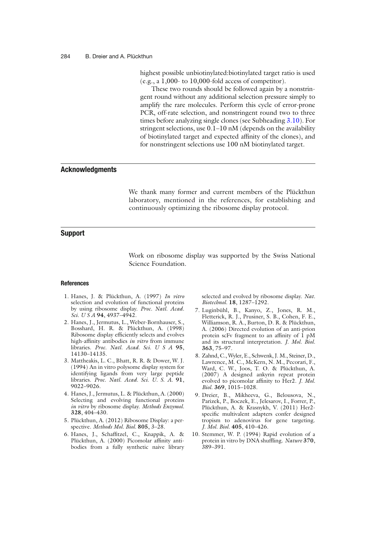highest possible unbiotinylated:biotinylated target ratio is used (e.g., a 1,000- to 10,000-fold access of competitor).

These two rounds should be followed again by a nonstringent round without any additional selection pressure simply to amplify the rare molecules. Perform this cycle of error-prone PCR, off-rate selection, and nonstringent round two to three times before analyzing single clones (see Subheading  $3.10$ ). For stringent selections, use 0.1–10 nM (depends on the availability of biotinylated target and expected affinity of the clones), and for nonstringent selections use 100 nM biotinylated target.

#### **Acknowledgments**

We thank many former and current members of the Plückthun laboratory, mentioned in the references, for establishing and continuously optimizing the ribosome display protocol.

#### **Support**

Work on ribosome display was supported by the Swiss National Science Foundation.

#### **References**

- 1. Hanes, J. & Plückthun, A. (1997) *In vitro* selection and evolution of functional proteins by using ribosome display. *Proc. Natl. Acad. Sci. U S A* **94**, 4937–4942.
- 2. Hanes, J., Jermutus, L., Weber-Bornhauser, S., Bosshard, H. R. & Plückthun, A. (1998) Ribosome display efficiently selects and evolves high-affinity antibodies *in vitro* from immune libraries. *Proc. Natl. Acad. Sci. U S A* **95**, 14130–14135.
- 3. Mattheakis, L. C., Bhatt, R. R. & Dower, W. J. (1994) An in vitro polysome display system for identifying ligands from very large peptide libraries. *Proc. Natl. Acad. Sci. U. S. A.* **91**, 9022–9026.
- 4. Hanes, J., Jermutus, L. & Plückthun, A. (2000) Selecting and evolving functional proteins *in vitro* by ribosome display. *Methods Enzymol.* **328**, 404–430.
- 5. Plückthun, A. (2012) Ribosome Display: a perspective. *Methods Mol. Biol.* **805**, 3–28.
- 6. Hanes, J., Schaffitzel, C., Knappik, A. & Plückthun, A. (2000) Picomolar affinity antibodies from a fully synthetic naive library

selected and evolved by ribosome display. *Nat. Biotechnol.* **18**, 1287–1292.

- 7. Luginbühl, B., Kanyo, Z., Jones, R. M., Fletterick, R. J., Prusiner, S. B., Cohen, F. E., Williamson, R. A., Burton, D. R. & Plückthun, A. (2006) Directed evolution of an anti-prion protein scFv fragment to an affinity of  $1$  pM and its structural interpretation. *J. Mol. Biol.* **363**, 75–97.
- 8. Zahnd, C., Wyler, E., Schwenk, J. M., Steiner, D., Lawrence, M. C., McKern, N. M., Pecorari, F., Ward, C. W., Joos, T. O. & Plückthun, A. (2007) A designed ankyrin repeat protein evolved to picomolar affinity to Her2. *J. Mol. Biol.* **369**, 1015–1028.
- 9. Dreier, B., Mikheeva, G., Belousova, N., Parizek, P., Boczek, E., Jelesarov, I., Forrer, P., Plückthun, A. & Krasnykh, V. (2011) Her2 specific multivalent adapters confer designed tropism to adenovirus for gene targeting. *J. Mol. Biol.* **405**, 410–426.
- 10. Stemmer, W. P. (1994) Rapid evolution of a protein in vitro by DNA shuffling. *Nature* 370, 389–391.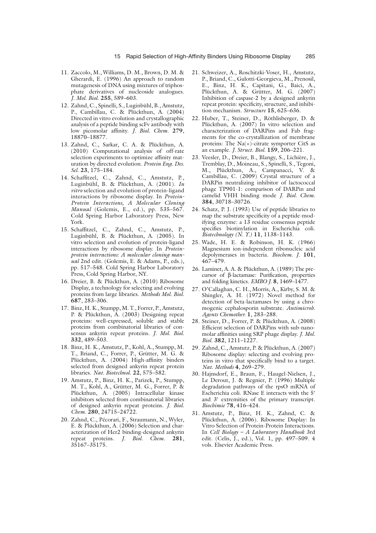- 11. Zaccolo, M., Williams, D. M., Brown, D. M. & Gherardi, E. (1996) An approach to random mutagenesis of DNA using mixtures of triphosphate derivatives of nucleoside analogues. *J. Mol. Biol.* **255**, 589–603.
- 12. Zahnd, C., Spinelli, S., Luginbühl, B., Amstutz, P., Cambillau, C. & Plückthun, A. (2004) Directed in vitro evolution and crystallographic analysis of a peptide binding scFv antibody with low picomolar affinity. *J. Biol. Chem.* 279, 18870–18877.
- 13. Zahnd, C., Sarkar, C. A. & Plückthun, A. (2010) Computational analysis of off-rate selection experiments to optimize affinity maturation by directed evolution. *Protein Eng. Des. Sel.* **23**, 175–184.
- 14. Schaffitzel, C., Zahnd, C., Amstutz, P., Luginbühl, B. & Plückthun, A. (2001). *In vitro* selection and evolution of protein-ligand interactions by ribosome display. In *Protein-Protein Interactions, A Molecular Cloning Manual* (Golemis, E., ed.), pp. 535–567. Cold Spring Harbor Laboratory Press, New York.
- 15. Schaffitzel, C., Zahnd, C., Amstutz, P., Luginbühl, B. & Plückthun, A. (2005). In vitro selection and evolution of protein-ligand interactions by ribosome display. In *Proteinprotein interactions: A molecular cloning manual* 2nd edit. (Golemis, E. & Adams, P., eds.), pp. 517–548. Cold Spring Harbor Laboratory Press, Cold Spring Harbor, NY.
- 16. Dreier, B. & Plückthun, A. (2010) Ribosome Display, a technology for selecting and evolving proteins from large libraries. *Methods Mol. Biol.* **687**, 283–306.
- 17. Binz, H. K., Stumpp, M. T., Forrer, P., Amstutz, P. & Plückthun, A. (2003) Designing repeat proteins: well-expressed, soluble and stable proteins from combinatorial libraries of consensus ankyrin repeat proteins. *J. Mol. Biol.* **332**, 489–503.
- 18. Binz, H. K., Amstutz, P., Kohl, A., Stumpp, M. T., Briand, C., Forrer, P., Grütter, M. G. & Plückthun, A. (2004) High-affinity binders selected from designed ankyrin repeat protein libraries. *Nat. Biotechnol.* **22**, 575–582.
- 19. Amstutz, P., Binz, H. K., Parizek, P., Stumpp, M. T., Kohl, A., Grütter, M. G., Forrer, P. & Plückthun, A. (2005) Intracellular kinase inhibitors selected from combinatorial libraries of designed ankyrin repeat proteins. *J. Biol. Chem.* **280**, 24715–24722.
- 20. Zahnd, C., Pécorari, F., Straumann, N., Wyler, E. & Plückthun, A. (2006) Selection and characterization of Her2 binding-designed ankyrin repeat proteins. *J. Biol. Chem.* **281**, 35167–35175.
- 21. Schweizer, A., Roschitzki-Voser, H., Amstutz, P., Briand, C., Gulotti-Georgieva, M., Prenosil, E., Binz, H. K., Capitani, G., Baici, A., Plückthun, A. & Grütter, M. G. (2007) Inhibition of caspase-2 by a designed ankyrin repeat protein: specificity, structure, and inhibition mechanism. *Structure* **15**, 625–636.
- 22. Huber, T., Steiner, D., Röthlisberger, D. & Plückthun, A. (2007) In vitro selection and characterization of DARPins and Fab fragments for the co-crystallization of membrane proteins: The Na(+)-citrate symporter CitS as an example. *J. Struct. Biol.* **159**, 206–221.
- 23. Veesler, D., Dreier, B., Blangy, S., Lichière, J., Tremblay, D., Moineau, S., Spinelli, S., Tegoni, M., Plückthun, A., Campanacci, V. & Cambillau, C. (2009) Crystal structure of a DARPin neutralizing inhibitor of lactococcal phage TP901-1: comparison of DARPin and camelid VHH binding mode *J. Biol. Chem.* **384**, 30718–30726.
- 24. Schatz, P. J. (1993) Use of peptide libraries to map the substrate specificity of a peptide-modifying enzyme: a 13 residue consensus peptide specifies biotinylation in Escherichia coli. *Biotechnology (N. Y.)* **11**, 1138–1143.
- 25. Wade, H. E. & Robinson, H. K. (1966) Magnesium ion-independent ribonucleic acid depolymerases in bacteria. *Biochem. J.* **101**, 467–479.
- 26. Laminet, A. A. & Plückthun, A. (1989) The precursor of β-lactamase: Purification, properties and folding kinetics. *EMBO J.* **8**, 1469–1477.
- 27. O'Callaghan, C. H., Morris, A., Kirby, S. M. & Shingler, A. H. (1972) Novel method for detection of beta-lactamases by using a chromogenic cephalosporin substrate. *Antimicrob. Agents Chemother.* **1**, 283–288.
- 28. Steiner, D., Forrer, P. & Plückthun, A. (2008) Efficient selection of DARPins with sub-nanomolar affinities using SRP phage display. *J. Mol. Biol.* **382**, 1211–1227.
- 29. Zahnd, C., Amstutz, P. & Plückthun, A. (2007) Ribosome display: selecting and evolving proteins in vitro that specifically bind to a target. *Nat. Methods* **4**, 269–279.
- 30. Hajnsdorf, E., Braun, F., Haugel-Nielsen, J., Le Derout, J. & Regnier, P. (1996) Multiple degradation pathways of the rpsO mRNA of Escherichia coli. RNase E interacts with the 5' and 3' extremities of the primary transcript. *Biochimie* **78**, 416–424.
- 31. Amstutz, P., Binz, H. K., Zahnd, C. & Plückthun, A. (2006). Ribosome Display: In Vitro Selection of Protein-Protein Interactions. In *Cell Biology – A Laboratory Handbook* 3rd edit. (Celis, J., ed.), Vol. 1, pp. 497–509. 4 vols. Elsevier Academic Press.